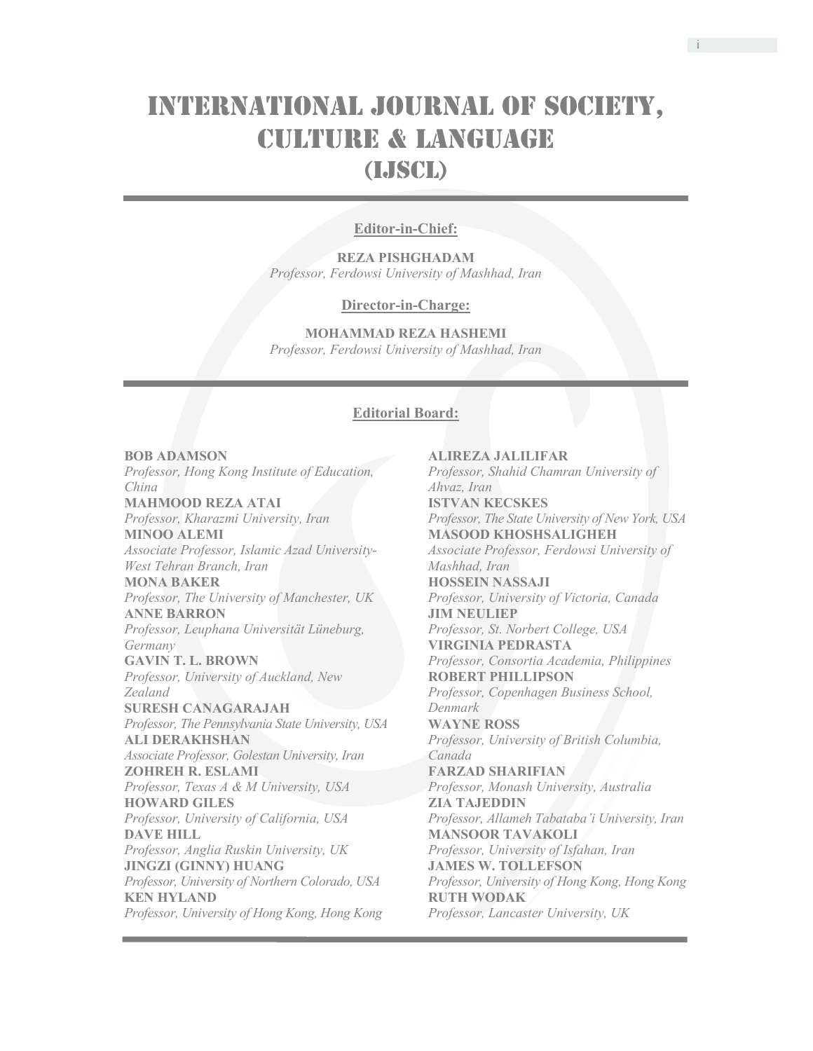# International Journal of Society, Culture & Language (IJSCL)

# **Editor-in-Chief:**

**REZA PISHGHADAM**  *Professor, Ferdowsi University of Mashhad, Iran* 

#### **Director-in-Charge:**

**MOHAMMAD REZA HASHEMI** *Professor, Ferdowsi University of Mashhad, Iran* 

#### **Editorial Board:**

# **BOB ADAMSON**

*Professor, Hong Kong Institute of Education, China*  **MAHMOOD REZA ATAI**  *Professor, Kharazmi University, Iran* **MINOO ALEMI**  *Associate Professor, Islamic Azad University-West Tehran Branch, Iran*  **MONA BAKER**  *Professor, The University of Manchester, UK*  **ANNE BARRON**  *Professor, Leuphana Universität Lüneburg, Germany*  **GAVIN T. L. BROWN**  *Professor, University of Auckland, New Zealand*  **SURESH CANAGARAJAH**  *Professor, The Pennsylvania State University, USA*  **ALI DERAKHSHAN**  *Associate Professor, Golestan University, Iran*  **ZOHREH R. ESLAMI**  *Professor, Texas A & M University, USA*  **HOWARD GILES**  *Professor, University of California, USA*  **DAVE HILL**  *Professor, Anglia Ruskin University, UK*  **JINGZI (GINNY) HUANG**  *Professor, University of Northern Colorado, USA*  **KEN HYLAND**  *Professor, University of Hong Kong, Hong Kong* 

**ALIREZA JALILIFAR**  *Professor, Shahid Chamran University of Ahvaz, Iran*  **ISTVAN KECSKES**  *Professor, The State University of New York, USA*  **MASOOD KHOSHSALIGHEH**  *Associate Professor, Ferdowsi University of Mashhad, Iran*  **HOSSEIN NASSAJI**  *Professor, University of Victoria, Canada*  **JIM NEULIEP**  *Professor, St. Norbert College, USA*  **VIRGINIA PEDRASTA**  *Professor, Consortia Academia, Philippines*  **ROBERT PHILLIPSON**  *Professor, Copenhagen Business School, Denmark*  **WAYNE ROSS**  *Professor, University of British Columbia, Canada*  **FARZAD SHARIFIAN**  *Professor, Monash University, Australia*  **ZIA TAJEDDIN**  *Professor, Allameh Tabataba'i University, Iran*  **MANSOOR TAVAKOLI**  *Professor, University of Isfahan, Iran* **JAMES W. TOLLEFSON**  *Professor, University of Hong Kong, Hong Kong*  **RUTH WODAK**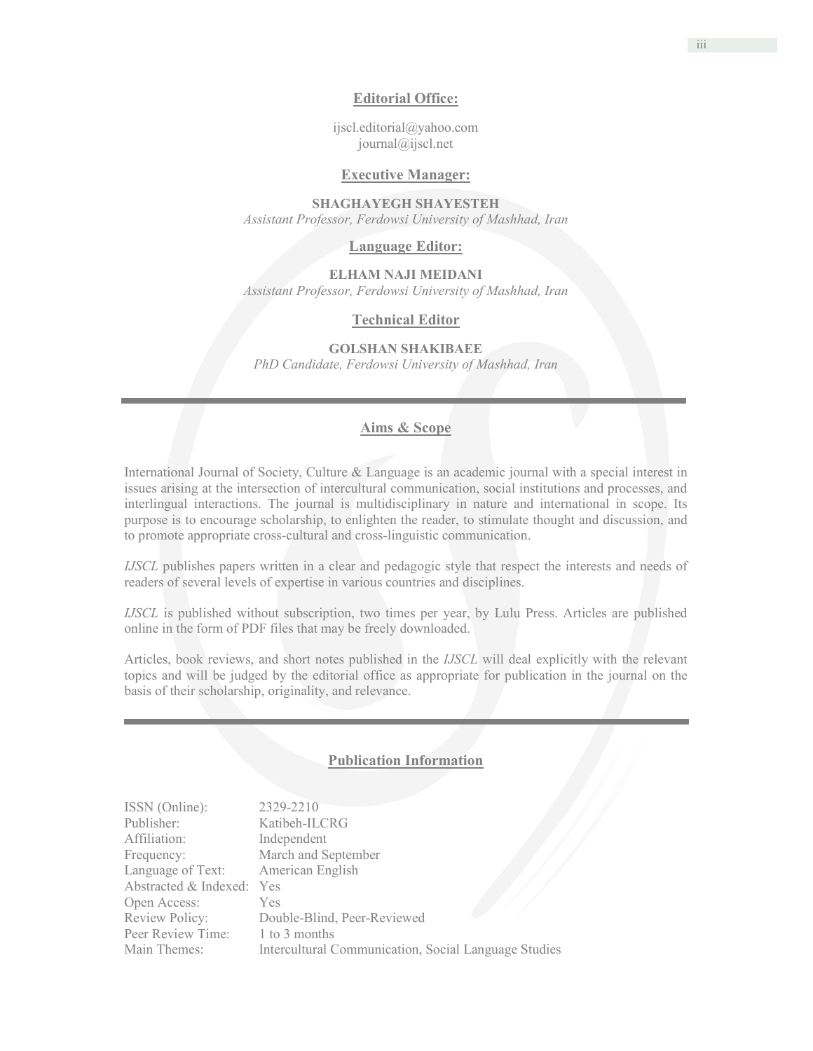### **Editorial Office:**

ijscl.editorial@yahoo.com journal@ijscl.net

## **Executive Manager:**

**SHAGHAYEGH SHAYESTEH**  *Assistant Professor, Ferdowsi University of Mashhad, Iran* 

**Language Editor:** 

**ELHAM NAJI MEIDANI**  *Assistant Professor, Ferdowsi University of Mashhad, Iran* 

#### **Technical Editor**

**GOLSHAN SHAKIBAEE** 

*PhD Candidate, Ferdowsi University of Mashhad, Iran*

#### **Aims & Scope**

International Journal of Society, Culture & Language is an academic journal with a special interest in issues arising at the intersection of intercultural communication, social institutions and processes, and interlingual interactions. The journal is multidisciplinary in nature and international in scope. Its purpose is to encourage scholarship, to enlighten the reader, to stimulate thought and discussion, and to promote appropriate cross-cultural and cross-linguistic communication.

*IJSCL* publishes papers written in a clear and pedagogic style that respect the interests and needs of readers of several levels of expertise in various countries and disciplines.

*IJSCL* is published without subscription, two times per year, by Lulu Press. Articles are published online in the form of PDF files that may be freely downloaded.

Articles, book reviews, and short notes published in the *IJSCL* will deal explicitly with the relevant topics and will be judged by the editorial office as appropriate for publication in the journal on the basis of their scholarship, originality, and relevance.

### **Publication Information**

| ISSN (Online):            | 2329-2210                                            |
|---------------------------|------------------------------------------------------|
| Publisher:                | Katibeh-ILCRG                                        |
| Affiliation:              | Independent                                          |
| Frequency:                | March and September                                  |
| Language of Text:         | American English                                     |
| Abstracted & Indexed: Yes |                                                      |
| Open Access:              | <b>Yes</b>                                           |
| Review Policy:            | Double-Blind, Peer-Reviewed                          |
| Peer Review Time:         | 1 to 3 months                                        |
| Main Themes:              | Intercultural Communication, Social Language Studies |